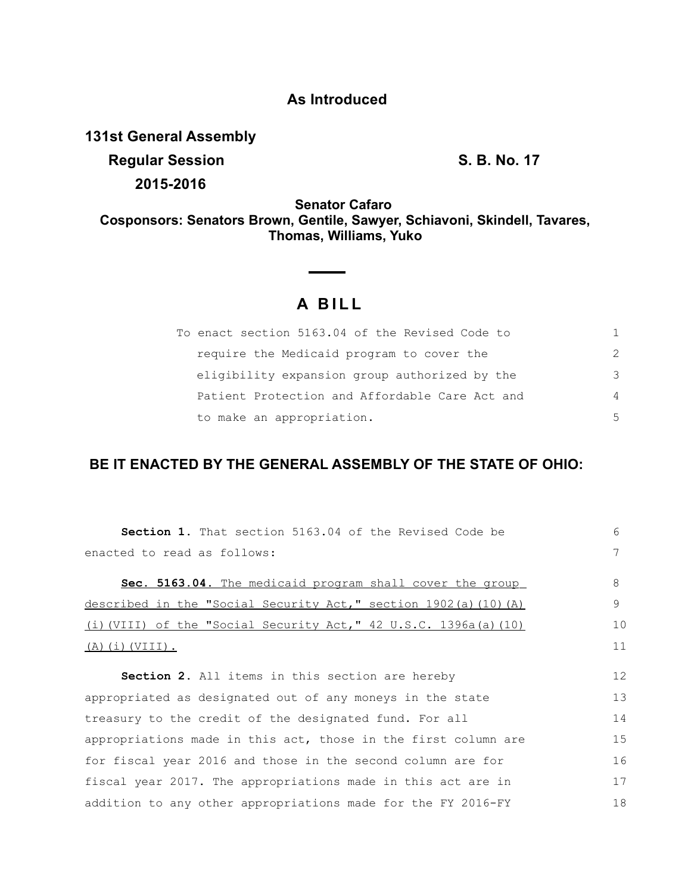## **As Introduced**

**131st General Assembly**

**Regular Session S. B. No. 17 2015-2016**

**Senator Cafaro Cosponsors: Senators Brown, Gentile, Sawyer, Schiavoni, Skindell, Tavares, Thomas, Williams, Yuko**

 $\overline{\phantom{0}}$ 

## **A B I L L**

**Contract** 

| To enact section 5163.04 of the Revised Code to |               |
|-------------------------------------------------|---------------|
| require the Medicaid program to cover the       | $\mathcal{P}$ |
| eligibility expansion group authorized by the   | 3             |
| Patient Protection and Affordable Care Act and  | 4             |
| to make an appropriation.                       | .5            |

## **BE IT ENACTED BY THE GENERAL ASSEMBLY OF THE STATE OF OHIO:**

| Section 1. That section 5163.04 of the Revised Code be                      | 6  |
|-----------------------------------------------------------------------------|----|
| enacted to read as follows:                                                 | 7  |
| Sec. 5163.04. The medicaid program shall cover the group                    | 8  |
| described in the "Social Security Act," section 1902(a) (10) (A)            | 9  |
| (i) (VIII) of the "Social Security Act," $42 \text{ U.S.C. } 1396a(a)$ (10) | 10 |
| $(A)$ (i) (VIII).                                                           |    |
|                                                                             |    |
| <b>Section 2.</b> All items in this section are hereby                      | 12 |
| appropriated as designated out of any moneys in the state                   | 13 |
| treasury to the credit of the designated fund. For all                      | 14 |
| appropriations made in this act, those in the first column are              | 15 |
| for fiscal year 2016 and those in the second column are for                 | 16 |
| fiscal year 2017. The appropriations made in this act are in                | 17 |
| addition to any other appropriations made for the FY 2016-FY                | 18 |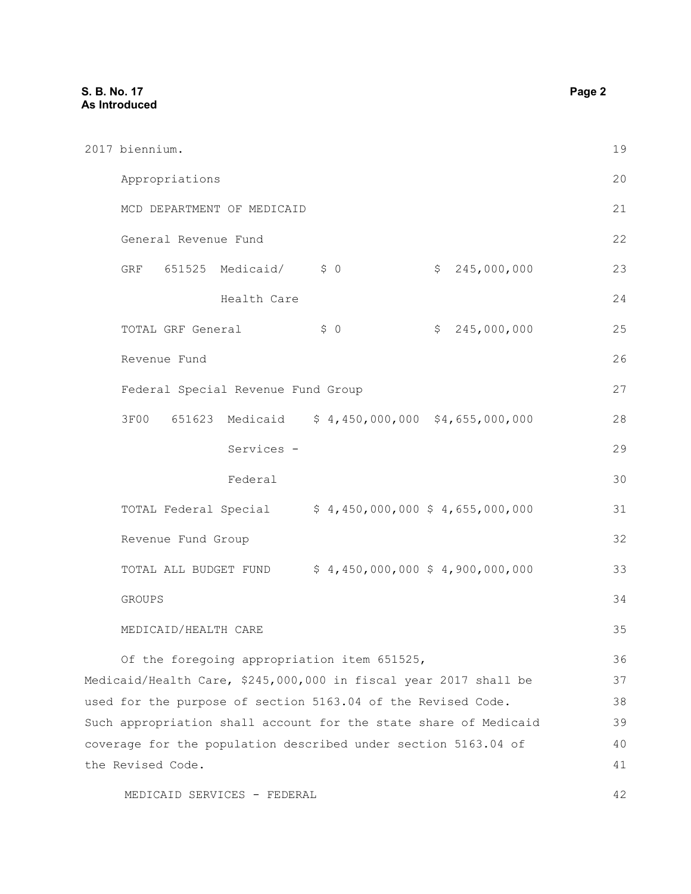|                                                                | 2017 biennium.                                                   | 19 |
|----------------------------------------------------------------|------------------------------------------------------------------|----|
|                                                                | Appropriations                                                   | 20 |
|                                                                | MCD DEPARTMENT OF MEDICAID                                       | 21 |
|                                                                | General Revenue Fund                                             | 22 |
|                                                                | \$0<br>GRF 651525 Medicaid/<br>\$245,000,000                     | 23 |
|                                                                | Health Care                                                      | 24 |
|                                                                | \$0<br>\$245,000,000<br>TOTAL GRF General                        | 25 |
|                                                                | Revenue Fund                                                     | 26 |
|                                                                | Federal Special Revenue Fund Group                               | 27 |
|                                                                | 3F00 651623 Medicaid<br>$$4,450,000,000$ $$4,655,000,000$        | 28 |
|                                                                |                                                                  |    |
|                                                                | Services -                                                       | 29 |
|                                                                | Federal                                                          | 30 |
|                                                                | $$4,450,000,000$$ $$4,655,000,000$<br>TOTAL Federal Special      | 31 |
|                                                                | Revenue Fund Group                                               | 32 |
|                                                                | $$4,450,000,000$$ $$4,900,000,000$<br>TOTAL ALL BUDGET FUND      | 33 |
|                                                                | <b>GROUPS</b>                                                    | 34 |
|                                                                | MEDICAID/HEALTH CARE                                             | 35 |
|                                                                | Of the foregoing appropriation item 651525,                      | 36 |
|                                                                | Medicaid/Health Care, \$245,000,000 in fiscal year 2017 shall be | 37 |
|                                                                | used for the purpose of section 5163.04 of the Revised Code.     | 38 |
|                                                                | Such appropriation shall account for the state share of Medicaid | 39 |
| coverage for the population described under section 5163.04 of |                                                                  | 40 |
|                                                                | the Revised Code.                                                | 41 |
|                                                                | MEDICAID SERVICES - FEDERAL                                      | 42 |